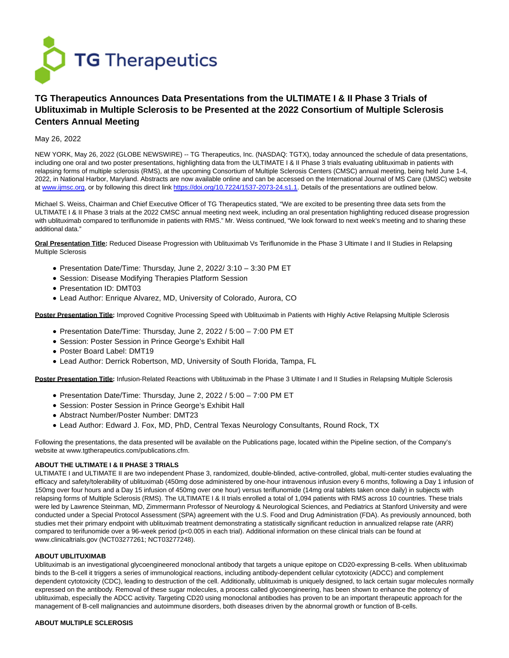

# **TG Therapeutics Announces Data Presentations from the ULTIMATE I & II Phase 3 Trials of Ublituximab in Multiple Sclerosis to be Presented at the 2022 Consortium of Multiple Sclerosis Centers Annual Meeting**

## May 26, 2022

NEW YORK, May 26, 2022 (GLOBE NEWSWIRE) -- TG Therapeutics, Inc. (NASDAQ: TGTX), today announced the schedule of data presentations, including one oral and two poster presentations, highlighting data from the ULTIMATE I & II Phase 3 trials evaluating ublituximab in patients with relapsing forms of multiple sclerosis (RMS), at the upcoming Consortium of Multiple Sclerosis Centers (CMSC) annual meeting, being held June 1-4, 2022, in National Harbor, Maryland. Abstracts are now available online and can be accessed on the International Journal of MS Care (IJMSC) website at www.jimsc.org, or by following this direct link [https://doi.org/10.7224/1537-2073-24.s1.1.](https://www.globenewswire.com/Tracker?data=Yo5LkHo2O3Roey-WH_X3uo9ZXsABUa82EO_WgSPcDKfdoCqlx4-OGY7N49H1fSp20gXPJaGwYH7Q_DGAlz3p8MaXlcO18yP7zTmV_oJInRDTUNjuvcq-xvyWrI_aArZrib8T33Uwk4PHxwObeiMh-w==) Details of the presentations are outlined below.

Michael S. Weiss, Chairman and Chief Executive Officer of TG Therapeutics stated, "We are excited to be presenting three data sets from the ULTIMATE I & II Phase 3 trials at the 2022 CMSC annual meeting next week, including an oral presentation highlighting reduced disease progression with ublituximab compared to teriflunomide in patients with RMS." Mr. Weiss continued, "We look forward to next week's meeting and to sharing these additional data."

**Oral Presentation Title:** Reduced Disease Progression with Ublituximab Vs Teriflunomide in the Phase 3 Ultimate I and II Studies in Relapsing Multiple Sclerosis

- Presentation Date/Time: Thursday, June 2, 2022/ 3:10 3:30 PM ET
- Session: Disease Modifying Therapies Platform Session
- Presentation ID: DMT03
- Lead Author: Enrique Alvarez, MD, University of Colorado, Aurora, CO

**Poster Presentation Title:** Improved Cognitive Processing Speed with Ublituximab in Patients with Highly Active Relapsing Multiple Sclerosis

- Presentation Date/Time: Thursday, June 2, 2022 / 5:00 7:00 PM ET
- Session: Poster Session in Prince George's Exhibit Hall
- Poster Board Label: DMT19
- Lead Author: Derrick Robertson, MD, University of South Florida, Tampa, FL

Poster Presentation Title: Infusion-Related Reactions with Ublituximab in the Phase 3 Ultimate I and II Studies in Relapsing Multiple Sclerosis

- Presentation Date/Time: Thursday, June 2, 2022 / 5:00 7:00 PM ET
- Session: Poster Session in Prince George's Exhibit Hall
- Abstract Number/Poster Number: DMT23
- Lead Author: Edward J. Fox, MD, PhD, Central Texas Neurology Consultants, Round Rock, TX

Following the presentations, the data presented will be available on the Publications page, located within the Pipeline section, of the Company's website at www.tgtherapeutics.com/publications.cfm.

## **ABOUT THE ULTIMATE I & II PHASE 3 TRIALS**

ULTIMATE I and ULTIMATE II are two independent Phase 3, randomized, double-blinded, active-controlled, global, multi-center studies evaluating the efficacy and safety/tolerability of ublituximab (450mg dose administered by one-hour intravenous infusion every 6 months, following a Day 1 infusion of 150mg over four hours and a Day 15 infusion of 450mg over one hour) versus teriflunomide (14mg oral tablets taken once daily) in subjects with relapsing forms of Multiple Sclerosis (RMS). The ULTIMATE I & II trials enrolled a total of 1,094 patients with RMS across 10 countries. These trials were led by Lawrence Steinman, MD, Zimmermann Professor of Neurology & Neurological Sciences, and Pediatrics at Stanford University and were conducted under a Special Protocol Assessment (SPA) agreement with the U.S. Food and Drug Administration (FDA). As previously announced, both studies met their primary endpoint with ublituximab treatment demonstrating a statistically significant reduction in annualized relapse rate (ARR) compared to terifunomide over a 96-week period (p<0.005 in each trial). Additional information on these clinical trials can be found at www.clinicaltrials.gov (NCT03277261; NCT03277248).

#### **ABOUT UBLITUXIMAB**

Ublituximab is an investigational glycoengineered monoclonal antibody that targets a unique epitope on CD20-expressing B-cells. When ublituximab binds to the B-cell it triggers a series of immunological reactions, including antibody-dependent cellular cytotoxicity (ADCC) and complement dependent cytotoxicity (CDC), leading to destruction of the cell. Additionally, ublituximab is uniquely designed, to lack certain sugar molecules normally expressed on the antibody. Removal of these sugar molecules, a process called glycoengineering, has been shown to enhance the potency of ublituximab, especially the ADCC activity. Targeting CD20 using monoclonal antibodies has proven to be an important therapeutic approach for the management of B-cell malignancies and autoimmune disorders, both diseases driven by the abnormal growth or function of B-cells.

#### **ABOUT MULTIPLE SCLEROSIS**